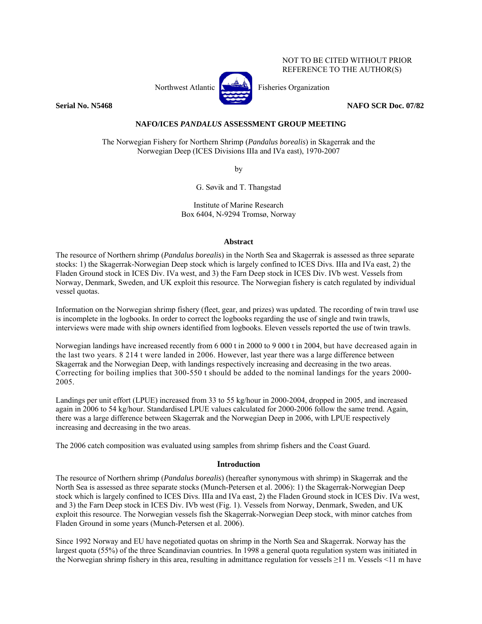Northwest Atlantic **No. 1989** Fisheries Organization



NOT TO BE CITED WITHOUT PRIOR REFERENCE TO THE AUTHOR(S)

## **Serial No. N5468 NAFO SCR Doc. 07/82**

# **NAFO/ICES** *PANDALUS* **ASSESSMENT GROUP MEETING**

The Norwegian Fishery for Northern Shrimp (*Pandalus borealis*) in Skagerrak and the Norwegian Deep (ICES Divisions IIIa and IVa east), 1970-2007

by

G. Søvik and T. Thangstad

Institute of Marine Research Box 6404, N-9294 Tromsø, Norway

### **Abstract**

The resource of Northern shrimp (*Pandalus borealis*) in the North Sea and Skagerrak is assessed as three separate stocks: 1) the Skagerrak-Norwegian Deep stock which is largely confined to ICES Divs. IIIa and IVa east, 2) the Fladen Ground stock in ICES Div. IVa west, and 3) the Farn Deep stock in ICES Div. IVb west. Vessels from Norway, Denmark, Sweden, and UK exploit this resource. The Norwegian fishery is catch regulated by individual vessel quotas.

Information on the Norwegian shrimp fishery (fleet, gear, and prizes) was updated. The recording of twin trawl use is incomplete in the logbooks. In order to correct the logbooks regarding the use of single and twin trawls, interviews were made with ship owners identified from logbooks. Eleven vessels reported the use of twin trawls.

Norwegian landings have increased recently from 6 000 t in 2000 to 9 000 t in 2004, but have decreased again in the last two years. 8 214 t were landed in 2006. However, last year there was a large difference between Skagerrak and the Norwegian Deep, with landings respectively increasing and decreasing in the two areas. Correcting for boiling implies that 300-550 t should be added to the nominal landings for the years 2000- 2005.

Landings per unit effort (LPUE) increased from 33 to 55 kg/hour in 2000-2004, dropped in 2005, and increased again in 2006 to 54 kg/hour. Standardised LPUE values calculated for 2000-2006 follow the same trend. Again, there was a large difference between Skagerrak and the Norwegian Deep in 2006, with LPUE respectively increasing and decreasing in the two areas.

The 2006 catch composition was evaluated using samples from shrimp fishers and the Coast Guard.

## **Introduction**

The resource of Northern shrimp (*Pandalus borealis*) (hereafter synonymous with shrimp) in Skagerrak and the North Sea is assessed as three separate stocks (Munch-Petersen et al. 2006): 1) the Skagerrak-Norwegian Deep stock which is largely confined to ICES Divs. IIIa and IVa east, 2) the Fladen Ground stock in ICES Div. IVa west, and 3) the Farn Deep stock in ICES Div. IVb west (Fig. 1). Vessels from Norway, Denmark, Sweden, and UK exploit this resource. The Norwegian vessels fish the Skagerrak-Norwegian Deep stock, with minor catches from Fladen Ground in some years (Munch-Petersen et al. 2006).

Since 1992 Norway and EU have negotiated quotas on shrimp in the North Sea and Skagerrak. Norway has the largest quota (55%) of the three Scandinavian countries. In 1998 a general quota regulation system was initiated in the Norwegian shrimp fishery in this area, resulting in admittance regulation for vessels ≥11 m. Vessels <11 m have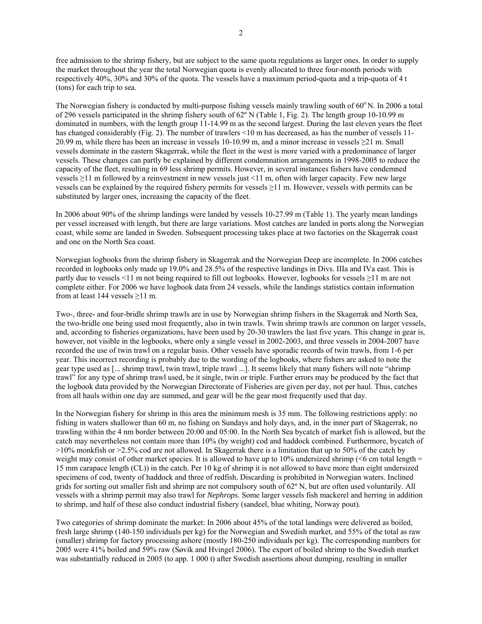free admission to the shrimp fishery, but are subject to the same quota regulations as larger ones. In order to supply the market throughout the year the total Norwegian quota is evenly allocated to three four-month periods with respectively 40%, 30% and 30% of the quota. The vessels have a maximum period-quota and a trip-quota of 4 t (tons) for each trip to sea.

The Norwegian fishery is conducted by multi-purpose fishing vessels mainly trawling south of  $60^{\circ}$ N. In 2006 a total of 296 vessels participated in the shrimp fishery south of 62º N (Table 1, Fig. 2). The length group 10-10.99 m dominated in numbers, with the length group 11-14.99 m as the second largest. During the last eleven years the fleet has changed considerably (Fig. 2). The number of trawlers <10 m has decreased, as has the number of vessels 11-20.99 m, while there has been an increase in vessels 10-10.99 m, and a minor increase in vessels ≥21 m. Small vessels dominate in the eastern Skagerrak, while the fleet in the west is more varied with a predominance of larger vessels. These changes can partly be explained by different condemnation arrangements in 1998-2005 to reduce the capacity of the fleet, resulting in 69 less shrimp permits. However, in several instances fishers have condemned vessels ≥11 m followed by a reinvestment in new vessels just <11 m, often with larger capacity. Few new large vessels can be explained by the required fishery permits for vessels ≥11 m. However, vessels with permits can be substituted by larger ones, increasing the capacity of the fleet.

In 2006 about 90% of the shrimp landings were landed by vessels 10-27.99 m (Table 1). The yearly mean landings per vessel increased with length, but there are large variations. Most catches are landed in ports along the Norwegian coast, while some are landed in Sweden. Subsequent processing takes place at two factories on the Skagerrak coast and one on the North Sea coast.

Norwegian logbooks from the shrimp fishery in Skagerrak and the Norwegian Deep are incomplete. In 2006 catches recorded in logbooks only made up 19.0% and 28.5% of the respective landings in Divs. IIIa and IVa east. This is partly due to vessels <11 m not being required to fill out logbooks. However, logbooks for vessels ≥11 m are not complete either. For 2006 we have logbook data from 24 vessels, while the landings statistics contain information from at least 144 vessels ≥11 m.

Two-, three- and four-bridle shrimp trawls are in use by Norwegian shrimp fishers in the Skagerrak and North Sea, the two-bridle one being used most frequently, also in twin trawls. Twin shrimp trawls are common on larger vessels, and, according to fisheries organizations, have been used by 20-30 trawlers the last five years. This change in gear is, however, not visible in the logbooks, where only a single vessel in 2002-2003, and three vessels in 2004-2007 have recorded the use of twin trawl on a regular basis. Other vessels have sporadic records of twin trawls, from 1-6 per year. This incorrect recording is probably due to the wording of the logbooks, where fishers are asked to note the gear type used as [... shrimp trawl, twin trawl, triple trawl ...]. It seems likely that many fishers will note "shrimp trawl" for any type of shrimp trawl used, be it single, twin or triple. Further errors may be produced by the fact that the logbook data provided by the Norwegian Directorate of Fisheries are given per day, not per haul. Thus, catches from all hauls within one day are summed, and gear will be the gear most frequently used that day.

In the Norwegian fishery for shrimp in this area the minimum mesh is 35 mm. The following restrictions apply: no fishing in waters shallower than 60 m, no fishing on Sundays and holy days, and, in the inner part of Skagerrak, no trawling within the 4 nm border between 20:00 and 05:00. In the North Sea bycatch of market fish is allowed, but the catch may nevertheless not contain more than 10% (by weight) cod and haddock combined. Furthermore, bycatch of >10% monkfish or >2.5% cod are not allowed. In Skagerrak there is a limitation that up to 50% of the catch by weight may consist of other market species. It is allowed to have up to  $10\%$  undersized shrimp ( $\leq 6$  cm total length = 15 mm carapace length (CL)) in the catch. Per 10 kg of shrimp it is not allowed to have more than eight undersized specimens of cod, twenty of haddock and three of redfish. Discarding is prohibited in Norwegian waters. Inclined grids for sorting out smaller fish and shrimp are not compulsory south of 62º N, but are often used voluntarily. All vessels with a shrimp permit may also trawl for *Nephrops*. Some larger vessels fish mackerel and herring in addition to shrimp, and half of these also conduct industrial fishery (sandeel, blue whiting, Norway pout).

Two categories of shrimp dominate the market: In 2006 about 45% of the total landings were delivered as boiled, fresh large shrimp (140-150 individuals per kg) for the Norwegian and Swedish market, and 55% of the total as raw (smaller) shrimp for factory processing ashore (mostly 180-250 individuals per kg). The corresponding numbers for 2005 were 41% boiled and 59% raw (Søvik and Hvingel 2006). The export of boiled shrimp to the Swedish market was substantially reduced in 2005 (to app. 1 000 t) after Swedish assertions about dumping, resulting in smaller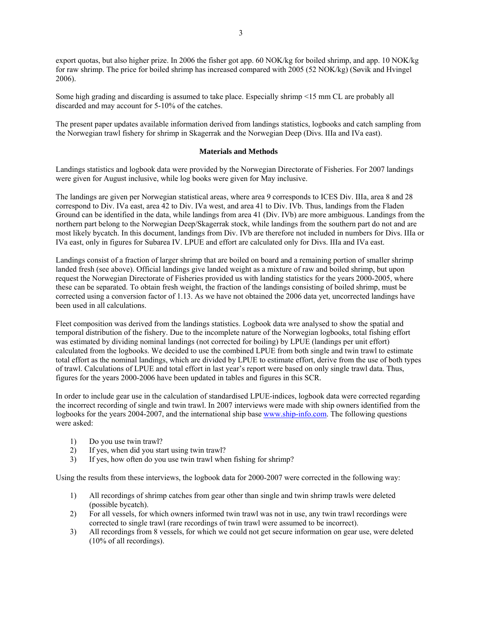export quotas, but also higher prize. In 2006 the fisher got app. 60 NOK/kg for boiled shrimp, and app. 10 NOK/kg for raw shrimp. The price for boiled shrimp has increased compared with 2005 (52 NOK/kg) (Søvik and Hvingel 2006).

Some high grading and discarding is assumed to take place. Especially shrimp <15 mm CL are probably all discarded and may account for 5-10% of the catches.

The present paper updates available information derived from landings statistics, logbooks and catch sampling from the Norwegian trawl fishery for shrimp in Skagerrak and the Norwegian Deep (Divs. IIIa and IVa east).

### **Materials and Methods**

Landings statistics and logbook data were provided by the Norwegian Directorate of Fisheries. For 2007 landings were given for August inclusive, while log books were given for May inclusive.

The landings are given per Norwegian statistical areas, where area 9 corresponds to ICES Div. IIIa, area 8 and 28 correspond to Div. IVa east, area 42 to Div. IVa west, and area 41 to Div. IVb. Thus, landings from the Fladen Ground can be identified in the data, while landings from area 41 (Div. IVb) are more ambiguous. Landings from the northern part belong to the Norwegian Deep/Skagerrak stock, while landings from the southern part do not and are most likely bycatch. In this document, landings from Div. IVb are therefore not included in numbers for Divs. IIIa or IVa east, only in figures for Subarea IV. LPUE and effort are calculated only for Divs. IIIa and IVa east.

Landings consist of a fraction of larger shrimp that are boiled on board and a remaining portion of smaller shrimp landed fresh (see above). Official landings give landed weight as a mixture of raw and boiled shrimp, but upon request the Norwegian Directorate of Fisheries provided us with landing statistics for the years 2000-2005, where these can be separated. To obtain fresh weight, the fraction of the landings consisting of boiled shrimp, must be corrected using a conversion factor of 1.13. As we have not obtained the 2006 data yet, uncorrected landings have been used in all calculations.

Fleet composition was derived from the landings statistics. Logbook data wre analysed to show the spatial and temporal distribution of the fishery. Due to the incomplete nature of the Norwegian logbooks, total fishing effort was estimated by dividing nominal landings (not corrected for boiling) by LPUE (landings per unit effort) calculated from the logbooks. We decided to use the combined LPUE from both single and twin trawl to estimate total effort as the nominal landings, which are divided by LPUE to estimate effort, derive from the use of both types of trawl. Calculations of LPUE and total effort in last year's report were based on only single trawl data. Thus, figures for the years 2000-2006 have been updated in tables and figures in this SCR.

In order to include gear use in the calculation of standardised LPUE-indices, logbook data were corrected regarding the incorrect recording of single and twin trawl. In 2007 interviews were made with ship owners identified from the logbooks for the years 2004-2007, and the international ship base www.ship-info.com. The following questions were asked:

- 1) Do you use twin trawl?
- 2) If yes, when did you start using twin trawl?
- 3) If yes, how often do you use twin trawl when fishing for shrimp?

Using the results from these interviews, the logbook data for 2000-2007 were corrected in the following way:

- 1) All recordings of shrimp catches from gear other than single and twin shrimp trawls were deleted (possible bycatch).
- 2) For all vessels, for which owners informed twin trawl was not in use, any twin trawl recordings were corrected to single trawl (rare recordings of twin trawl were assumed to be incorrect).
- 3) All recordings from 8 vessels, for which we could not get secure information on gear use, were deleted (10% of all recordings).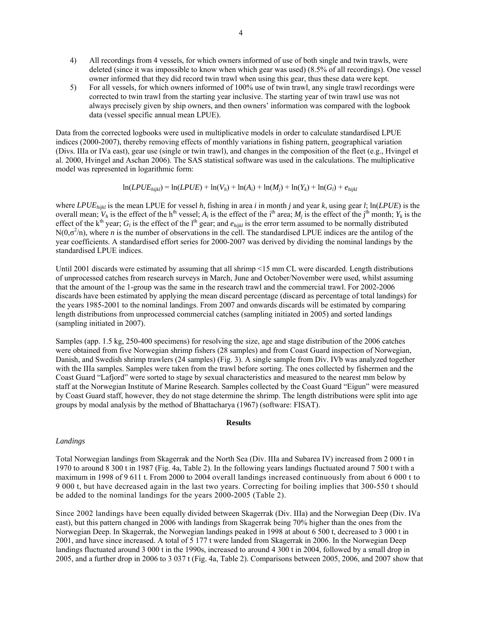- 4) All recordings from 4 vessels, for which owners informed of use of both single and twin trawls, were deleted (since it was impossible to know when which gear was used) (8.5% of all recordings). One vessel owner informed that they did record twin trawl when using this gear, thus these data were kept.
- 5) For all vessels, for which owners informed of 100% use of twin trawl, any single trawl recordings were corrected to twin trawl from the starting year inclusive. The starting year of twin trawl use was not always precisely given by ship owners, and then owners' information was compared with the logbook data (vessel specific annual mean LPUE).

Data from the corrected logbooks were used in multiplicative models in order to calculate standardised LPUE indices (2000-2007), thereby removing effects of monthly variations in fishing pattern, geographical variation (Divs. IIIa or IVa east), gear use (single or twin trawl), and changes in the composition of the fleet (e.g., Hvingel et al. 2000, Hvingel and Aschan 2006). The SAS statistical software was used in the calculations. The multiplicative model was represented in logarithmic form:

$$
\ln(LPUE_{hijkl}) = \ln(LPUE) + \ln(V_h) + \ln(A_i) + \ln(M_j) + \ln(Y_k) + \ln(G_l) + e_{hijkl}
$$

where *LPUEhijkl* is the mean LPUE for vessel *h*, fishing in area *i* in month *j* and year *k*, using gear *l*; ln(*LPUE*) is the overall mean;  $V_h$  is the effect of the h<sup>th</sup> vessel;  $A_i$  is the effect of the i<sup>th</sup> area;  $M_i$  is the effect of the j<sup>th</sup> month;  $Y_k$  is the effect of the  $k<sup>th</sup>$  year;  $G_l$  is the effect of the l<sup>th</sup> gear; and  $e_{hijkl}$  is the error term assumed to be normally distributed  $N(0, \sigma^2/n)$ , where *n* is the number of observations in the cell. The standardised LPUE indices are the antilog of the year coefficients. A standardised effort series for 2000-2007 was derived by dividing the nominal landings by the standardised LPUE indices.

Until 2001 discards were estimated by assuming that all shrimp <15 mm CL were discarded. Length distributions of unprocessed catches from research surveys in March, June and October/November were used, whilst assuming that the amount of the 1-group was the same in the research trawl and the commercial trawl. For 2002-2006 discards have been estimated by applying the mean discard percentage (discard as percentage of total landings) for the years 1985-2001 to the nominal landings. From 2007 and onwards discards will be estimated by comparing length distributions from unprocessed commercial catches (sampling initiated in 2005) and sorted landings (sampling initiated in 2007).

Samples (app. 1.5 kg, 250-400 specimens) for resolving the size, age and stage distribution of the 2006 catches were obtained from five Norwegian shrimp fishers (28 samples) and from Coast Guard inspection of Norwegian, Danish, and Swedish shrimp trawlers (24 samples) (Fig. 3). A single sample from Div. IVb was analyzed together with the IIIa samples. Samples were taken from the trawl before sorting. The ones collected by fishermen and the Coast Guard "Lafjord" were sorted to stage by sexual characteristics and measured to the nearest mm below by staff at the Norwegian Institute of Marine Research. Samples collected by the Coast Guard "Eigun" were measured by Coast Guard staff, however, they do not stage determine the shrimp. The length distributions were split into age groups by modal analysis by the method of Bhattacharya (1967) (software: FISAT).

### **Results**

### *Landings*

Total Norwegian landings from Skagerrak and the North Sea (Div. IIIa and Subarea IV) increased from 2 000 t in 1970 to around 8 300 t in 1987 (Fig. 4a, Table 2). In the following years landings fluctuated around 7 500 t with a maximum in 1998 of 9 611 t. From 2000 to 2004 overall landings increased continuously from about 6 000 t to 9 000 t, but have decreased again in the last two years. Correcting for boiling implies that 300-550 t should be added to the nominal landings for the years 2000-2005 (Table 2).

Since 2002 landings have been equally divided between Skagerrak (Div. IIIa) and the Norwegian Deep (Div. IVa east), but this pattern changed in 2006 with landings from Skagerrak being 70% higher than the ones from the Norwegian Deep. In Skagerrak, the Norwegian landings peaked in 1998 at about 6 500 t, decreased to 3 000 t in 2001, and have since increased. A total of 5 177 t were landed from Skagerrak in 2006. In the Norwegian Deep landings fluctuated around 3 000 t in the 1990s, increased to around 4 300 t in 2004, followed by a small drop in 2005, and a further drop in 2006 to 3 037 t (Fig. 4a, Table 2). Comparisons between 2005, 2006, and 2007 show that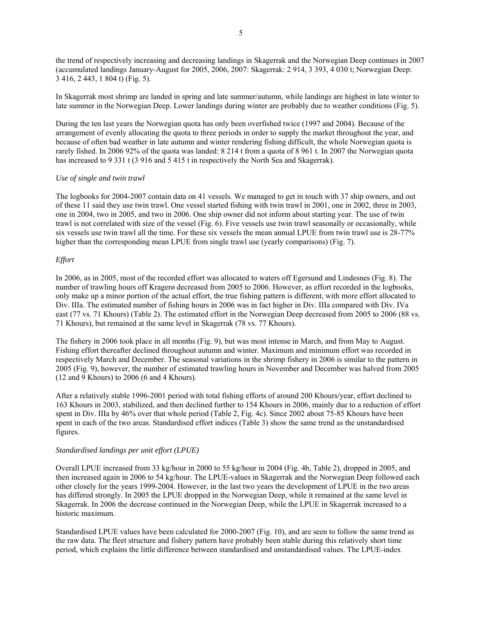the trend of respectively increasing and decreasing landings in Skagerrak and the Norwegian Deep continues in 2007 (accumulated landings January-August for 2005, 2006, 2007: Skagerrak: 2 914, 3 393, 4 030 t; Norwegian Deep: 3 416, 2 443, 1 804 t) (Fig. 5).

In Skagerrak most shrimp are landed in spring and late summer/autumn, while landings are highest in late winter to late summer in the Norwegian Deep. Lower landings during winter are probably due to weather conditions (Fig. 5).

During the ten last years the Norwegian quota has only been overfished twice (1997 and 2004). Because of the arrangement of evenly allocating the quota to three periods in order to supply the market throughout the year, and because of often bad weather in late autumn and winter rendering fishing difficult, the whole Norwegian quota is rarely fished. In 2006 92% of the quota was landed: 8 214 t from a quota of 8 961 t. In 2007 the Norwegian quota has increased to 9 331 t (3 916 and 5 415 t in respectively the North Sea and Skagerrak).

### *Use of single and twin trawl*

The logbooks for 2004-2007 contain data on 41 vessels. We managed to get in touch with 37 ship owners, and out of these 11 said they use twin trawl. One vessel started fishing with twin trawl in 2001, one in 2002, three in 2003, one in 2004, two in 2005, and two in 2006. One ship owner did not inform about starting year. The use of twin trawl is not correlated with size of the vessel (Fig. 6). Five vessels use twin trawl seasonally or occasionally, while six vessels use twin trawl all the time. For these six vessels the mean annual LPUE from twin trawl use is 28-77% higher than the corresponding mean LPUE from single trawl use (yearly comparisons) (Fig. 7).

### *Effort*

In 2006, as in 2005, most of the recorded effort was allocated to waters off Egersund and Lindesnes (Fig. 8). The number of trawling hours off Kragerø decreased from 2005 to 2006. However, as effort recorded in the logbooks, only make up a minor portion of the actual effort, the true fishing pattern is different, with more effort allocated to Div. IIIa. The estimated number of fishing hours in 2006 was in fact higher in Div. IIIa compared with Div. IVa east (77 vs. 71 Khours) (Table 2). The estimated effort in the Norwegian Deep decreased from 2005 to 2006 (88 vs. 71 Khours), but remained at the same level in Skagerrak (78 vs. 77 Khours).

The fishery in 2006 took place in all months (Fig. 9), but was most intense in March, and from May to August. Fishing effort thereafter declined throughout autumn and winter. Maximum and minimum effort was recorded in respectively March and December. The seasonal variations in the shrimp fishery in 2006 is similar to the pattern in 2005 (Fig. 9), however, the number of estimated trawling hours in November and December was halved from 2005 (12 and 9 Khours) to 2006 (6 and 4 Khours).

After a relatively stable 1996-2001 period with total fishing efforts of around 200 Khours/year, effort declined to 163 Khours in 2003, stabilized, and then declined further to 154 Khours in 2006, mainly due to a reduction of effort spent in Div. IIIa by 46% over that whole period (Table 2, Fig. 4c). Since 2002 about 75-85 Khours have been spent in each of the two areas. Standardised effort indices (Table 3) show the same trend as the unstandardised figures.

### *Standardised landings per unit effort (LPUE)*

Overall LPUE increased from 33 kg/hour in 2000 to 55 kg/hour in 2004 (Fig. 4b, Table 2), dropped in 2005, and then increased again in 2006 to 54 kg/hour. The LPUE-values in Skagerrak and the Norwegian Deep followed each other closely for the years 1999-2004. However, in the last two years the development of LPUE in the two areas has differed strongly. In 2005 the LPUE dropped in the Norwegian Deep, while it remained at the same level in Skagerrak. In 2006 the decrease continued in the Norwegian Deep, while the LPUE in Skagerrak increased to a historic maximum.

Standardised LPUE values have been calculated for 2000-2007 (Fig. 10), and are seen to follow the same trend as the raw data. The fleet structure and fishery pattern have probably been stable during this relatively short time period, which explains the little difference between standardised and unstandardised values. The LPUE-index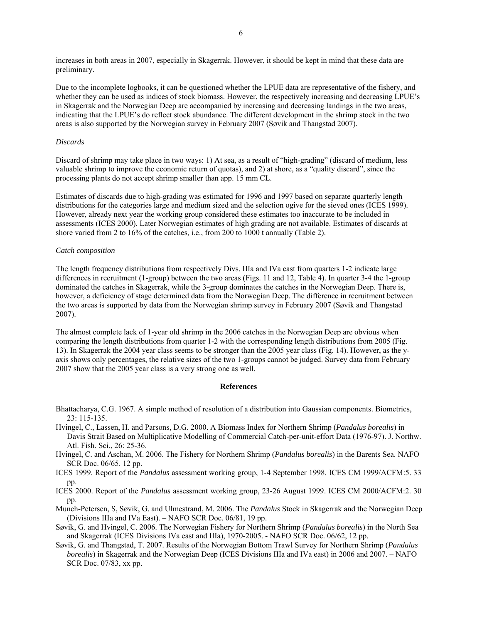increases in both areas in 2007, especially in Skagerrak. However, it should be kept in mind that these data are preliminary.

Due to the incomplete logbooks, it can be questioned whether the LPUE data are representative of the fishery, and whether they can be used as indices of stock biomass. However, the respectively increasing and decreasing LPUE's in Skagerrak and the Norwegian Deep are accompanied by increasing and decreasing landings in the two areas, indicating that the LPUE's do reflect stock abundance. The different development in the shrimp stock in the two areas is also supported by the Norwegian survey in February 2007 (Søvik and Thangstad 2007).

#### *Discards*

Discard of shrimp may take place in two ways: 1) At sea, as a result of "high-grading" (discard of medium, less valuable shrimp to improve the economic return of quotas), and 2) at shore, as a "quality discard", since the processing plants do not accept shrimp smaller than app. 15 mm CL.

Estimates of discards due to high-grading was estimated for 1996 and 1997 based on separate quarterly length distributions for the categories large and medium sized and the selection ogive for the sieved ones (ICES 1999). However, already next year the working group considered these estimates too inaccurate to be included in assessments (ICES 2000). Later Norwegian estimates of high grading are not available. Estimates of discards at shore varied from 2 to 16% of the catches, i.e., from 200 to 1000 t annually (Table 2).

#### *Catch composition*

The length frequency distributions from respectively Divs. IIIa and IVa east from quarters 1-2 indicate large differences in recruitment (1-group) between the two areas (Figs. 11 and 12, Table 4). In quarter 3-4 the 1-group dominated the catches in Skagerrak, while the 3-group dominates the catches in the Norwegian Deep. There is, however, a deficiency of stage determined data from the Norwegian Deep. The difference in recruitment between the two areas is supported by data from the Norwegian shrimp survey in February 2007 (Søvik and Thangstad 2007).

The almost complete lack of 1-year old shrimp in the 2006 catches in the Norwegian Deep are obvious when comparing the length distributions from quarter 1-2 with the corresponding length distributions from 2005 (Fig. 13). In Skagerrak the 2004 year class seems to be stronger than the 2005 year class (Fig. 14). However, as the yaxis shows only percentages, the relative sizes of the two 1-groups cannot be judged. Survey data from February 2007 show that the 2005 year class is a very strong one as well.

#### **References**

- Bhattacharya, C.G. 1967. A simple method of resolution of a distribution into Gaussian components. Biometrics, 23: 115-135.
- Hvingel, C., Lassen, H. and Parsons, D.G. 2000. A Biomass Index for Northern Shrimp (*Pandalus borealis*) in Davis Strait Based on Multiplicative Modelling of Commercial Catch-per-unit-effort Data (1976-97). J. Northw. Atl. Fish. Sci., 26: 25-36.
- Hvingel, C. and Aschan, M. 2006. The Fishery for Northern Shrimp (*Pandalus borealis*) in the Barents Sea. NAFO SCR Doc. 06/65. 12 pp.
- ICES 1999. Report of the *Pandalus* assessment working group, 1-4 September 1998. ICES CM 1999/ACFM:5. 33 pp.
- ICES 2000. Report of the *Pandalus* assessment working group, 23-26 August 1999. ICES CM 2000/ACFM:2. 30 pp.
- Munch-Petersen, S, Søvik, G. and Ulmestrand, M. 2006. The *Pandalus* Stock in Skagerrak and the Norwegian Deep (Divisions IIIa and IVa East). – NAFO SCR Doc. 06/81, 19 pp.
- Søvik, G. and Hvingel, C. 2006. The Norwegian Fishery for Northern Shrimp (*Pandalus borealis*) in the North Sea and Skagerrak (ICES Divisions IVa east and IIIa), 1970-2005. - NAFO SCR Doc. 06/62, 12 pp.
- Søvik, G. and Thangstad, T. 2007. Results of the Norwegian Bottom Trawl Survey for Northern Shrimp (*Pandalus borealis*) in Skagerrak and the Norwegian Deep (ICES Divisions IIIa and IVa east) in 2006 and 2007. – NAFO SCR Doc. 07/83, xx pp.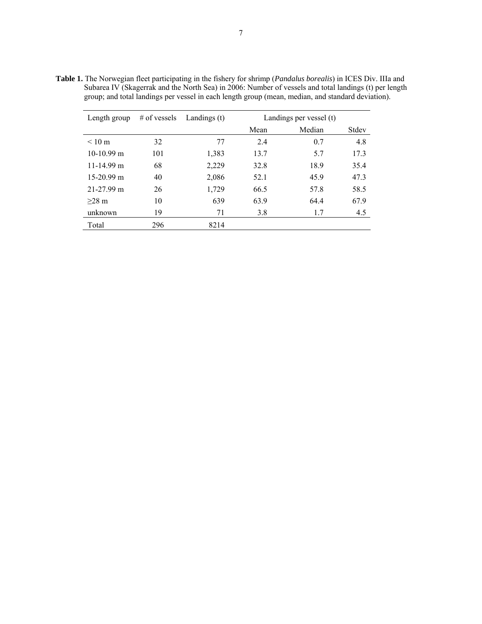| Length group     | $#$ of vessels | Landings (t) | Landings per vessel (t) |        |       |  |
|------------------|----------------|--------------|-------------------------|--------|-------|--|
|                  |                |              | Mean                    | Median | Stdev |  |
| $< 10 \text{ m}$ | 32             | 77           | 2.4                     | 0.7    | 4.8   |  |
| $10-10.99$ m     | 101            | 1,383        | 13.7                    | 5.7    | 17.3  |  |
| $11-14.99$ m     | 68             | 2,229        | 32.8                    | 18.9   | 35.4  |  |
| $15-20.99$ m     | 40             | 2,086        | 52.1                    | 45.9   | 47.3  |  |
| $21 - 27.99$ m   | 26             | 1,729        | 66.5                    | 57.8   | 58.5  |  |
| $>28$ m          | 10             | 639          | 63.9                    | 64.4   | 67.9  |  |
| unknown          | 19             | 71           | 3.8                     | 1.7    | 4.5   |  |
| Total            | 296            | 8214         |                         |        |       |  |

**Table 1.** The Norwegian fleet participating in the fishery for shrimp (*Pandalus borealis*) in ICES Div. IIIa and Subarea IV (Skagerrak and the North Sea) in 2006: Number of vessels and total landings (t) per length group; and total landings per vessel in each length group (mean, median, and standard deviation).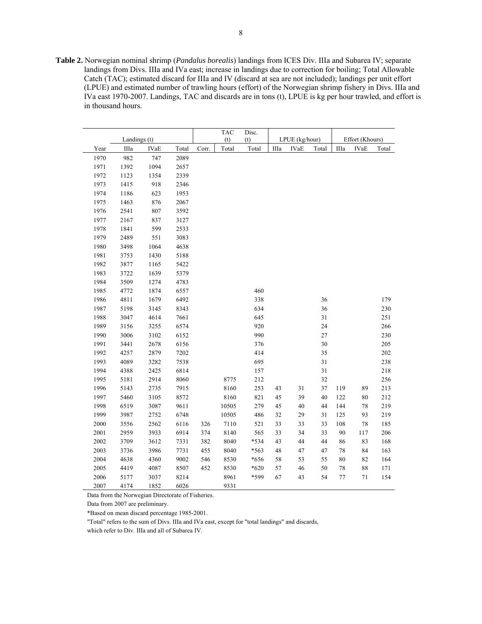**Table 2.** Norwegian nominal shrimp (*Pandalus borealis*) landings from ICES Div. IIIa and Subarea IV; separate landings from Divs. IIIa and IVa east; increase in landings due to correction for boiling; Total Allowable Catch (TAC); estimated discard for IIIa and IV (discard at sea are not included); landings per unit effort (LPUE) and estimated number of trawling hours (effort) of the Norwegian shrimp fishery in Divs. IIIa and IVa east 1970-2007. Landings, TAC and discards are in tons (t), LPUE is kg per hour trawled, and effort is in thousand hours.

|      |              |             |       |       | <b>TAC</b> | Disc.          |      |                 |        |        |             |       |
|------|--------------|-------------|-------|-------|------------|----------------|------|-----------------|--------|--------|-------------|-------|
|      | Landings (t) |             |       | (t)   | (t)        | LPUE (kg/hour) |      | Effort (Khours) |        |        |             |       |
| Year | IIIa         | <b>IVaE</b> | Total | Corr. | Total      | Total          | IIIa | <b>IVaE</b>     | Total  | IIIa   | <b>IVaE</b> | Total |
| 1970 | 982          | 747         | 2089  |       |            |                |      |                 |        |        |             |       |
| 1971 | 1392         | 1094        | 2657  |       |            |                |      |                 |        |        |             |       |
| 1972 | 1123         | 1354        | 2339  |       |            |                |      |                 |        |        |             |       |
| 1973 | 1415         | 918         | 2346  |       |            |                |      |                 |        |        |             |       |
| 1974 | 1186         | 623         | 1953  |       |            |                |      |                 |        |        |             |       |
| 1975 | 1463         | 876         | 2067  |       |            |                |      |                 |        |        |             |       |
| 1976 | 2541         | 807         | 3592  |       |            |                |      |                 |        |        |             |       |
| 1977 | 2167         | 837         | 3127  |       |            |                |      |                 |        |        |             |       |
| 1978 | 1841         | 599         | 2533  |       |            |                |      |                 |        |        |             |       |
| 1979 | 2489         | 551         | 3083  |       |            |                |      |                 |        |        |             |       |
| 1980 | 3498         | 1064        | 4638  |       |            |                |      |                 |        |        |             |       |
| 1981 | 3753         | 1430        | 5188  |       |            |                |      |                 |        |        |             |       |
| 1982 | 3877         | 1165        | 5422  |       |            |                |      |                 |        |        |             |       |
| 1983 | 3722         | 1639        | 5379  |       |            |                |      |                 |        |        |             |       |
| 1984 | 3509         | 1274        | 4783  |       |            |                |      |                 |        |        |             |       |
| 1985 | 4772         | 1874        | 6557  |       |            | 460            |      |                 |        |        |             |       |
| 1986 | 4811         | 1679        | 6492  |       |            | 338            |      |                 | 36     |        |             | 179   |
| 1987 | 5198         | 3145        | 8343  |       |            | 634            |      |                 | 36     |        |             | 230   |
| 1988 | 3047         | 4614        | 7661  |       |            | 645            |      |                 | 31     |        |             | 251   |
| 1989 | 3156         | 3255        | 6574  |       |            | 920            |      |                 | 24     |        |             | 266   |
| 1990 | 3006         | 3102        | 6152  |       |            | 990            |      |                 | 27     |        |             | 230   |
| 1991 | 3441         | 2678        | 6156  |       |            | 376            |      |                 | 30     |        |             | 205   |
| 1992 | 4257         | 2879        | 7202  |       |            | 414            |      |                 | 35     |        |             | 202   |
| 1993 | 4089         | 3282        | 7538  |       |            | 695            |      |                 | 31     |        |             | 238   |
| 1994 | 4388         | 2425        | 6814  |       |            | 157            |      |                 | 31     |        |             | 218   |
| 1995 | 5181         | 2914        | 8060  |       | 8775       | 212            |      |                 | 32     |        |             | 256   |
| 1996 | 5143         | 2735        | 7915  |       | 8160       | 253            | 43   | 31              | 37     | 119    | 89          | 213   |
| 1997 | 5460         | 3105        | 8572  |       | 8160       | 821            | 45   | 39              | 40     | 122    | $80\,$      | 212   |
| 1998 | 6519         | 3087        | 9611  |       | 10505      | 279            | 45   | 40              | 44     | 144    | 78          | 219   |
| 1999 | 3987         | 2752        | 6748  |       | 10505      | 486            | 32   | 29              | 31     | 125    | 93          | 219   |
| 2000 | 3556         | 2562        | 6116  | 326   | 7110       | 521            | 33   | 33              | 33     | 108    | $78\,$      | 185   |
| 2001 | 2959         | 3933        | 6914  | 374   | 8140       | 565            | 33   | 34              | 33     | $90\,$ | 117         | 206   |
| 2002 | 3709         | 3612        | 7331  | 382   | 8040       | *534           | 43   | 44              | 44     | 86     | 83          | 168   |
| 2003 | 3736         | 3986        | 7731  | 455   | 8040       | *563           | 48   | 47              | $47\,$ | 78     | 84          | 163   |
| 2004 | 4638         | 4360        | 9002  | 546   | 8530       | *656           | 58   | 53              | 55     | 80     | 82          | 164   |
| 2005 | 4419         | 4087        | 8507  | 452   | 8530       | $*620$         | 57   | 46              | 50     | $78\,$ | $\bf 88$    | 171   |
| 2006 | 5177         | 3037        | 8214  |       | 8961       | *599           | 67   | 43              | 54     | 77     | 71          | 154   |
| 2007 | 4174         | 1852        | 6026  |       | 9331       |                |      |                 |        |        |             |       |

Data from the Norwegian Directorate of Fisheries.

Data from 2007 are preliminary.

\*Based on mean discard percentage 1985-2001.

"Total" refers to the sum of Divs. IIIa and IVa east, except for "total landings" and discards,

which refer to Div. IIIa and all of Subarea IV.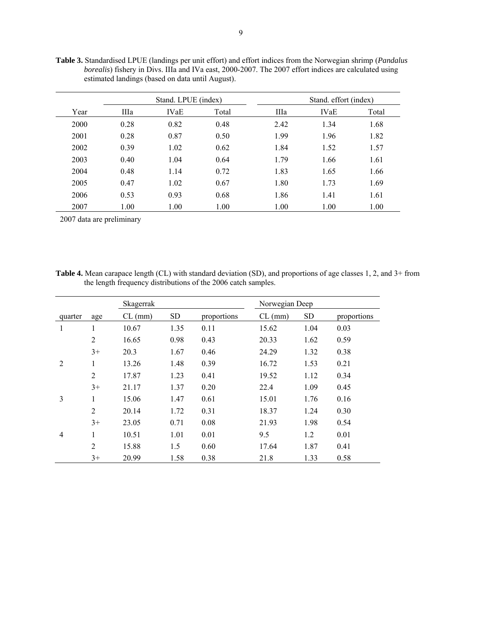|      |      | Stand. LPUE (index) |       | Stand. effort (index) |             |       |  |
|------|------|---------------------|-------|-----------------------|-------------|-------|--|
| Year | IIIa | <b>IVaE</b>         | Total | IIIa                  | <b>IVaE</b> | Total |  |
| 2000 | 0.28 | 0.82                | 0.48  | 2.42                  | 1.34        | 1.68  |  |
| 2001 | 0.28 | 0.87                | 0.50  | 1.99                  | 1.96        | 1.82  |  |
| 2002 | 0.39 | 1.02                | 0.62  | 1.84                  | 1.52        | 1.57  |  |
| 2003 | 0.40 | 1.04                | 0.64  | 1.79                  | 1.66        | 1.61  |  |
| 2004 | 0.48 | 1.14                | 0.72  | 1.83                  | 1.65        | 1.66  |  |
| 2005 | 0.47 | 1.02                | 0.67  | 1.80                  | 1.73        | 1.69  |  |
| 2006 | 0.53 | 0.93                | 0.68  | 1.86                  | 1.41        | 1.61  |  |
| 2007 | 1.00 | 1.00                | 1.00  | 1.00                  | 1.00        | 1.00  |  |

**Table 3.** Standardised LPUE (landings per unit effort) and effort indices from the Norwegian shrimp (*Pandalus borealis*) fishery in Divs. IIIa and IVa east, 2000-2007. The 2007 effort indices are calculated using estimated landings (based on data until August).

2007 data are preliminary

**Table 4.** Mean carapace length (CL) with standard deviation (SD), and proportions of age classes 1, 2, and 3+ from the length frequency distributions of the 2006 catch samples.

|                |                | Skagerrak |           |             | Norwegian Deep |           |             |  |
|----------------|----------------|-----------|-----------|-------------|----------------|-----------|-------------|--|
| quarter        | age            | $CL$ (mm) | <b>SD</b> | proportions | $CL$ (mm)      | <b>SD</b> | proportions |  |
| 1              | 1              | 10.67     | 1.35      | 0.11        | 15.62          | 1.04      | 0.03        |  |
|                | $\overline{2}$ | 16.65     | 0.98      | 0.43        | 20.33          | 1.62      | 0.59        |  |
|                | $3+$           | 20.3      | 1.67      | 0.46        | 24.29          | 1.32      | 0.38        |  |
| 2              | 1              | 13.26     | 1.48      | 0.39        | 16.72          | 1.53      | 0.21        |  |
|                | $\overline{2}$ | 17.87     | 1.23      | 0.41        | 19.52          | 1.12      | 0.34        |  |
|                | $3+$           | 21.17     | 1.37      | 0.20        | 22.4           | 1.09      | 0.45        |  |
| 3              | 1              | 15.06     | 1.47      | 0.61        | 15.01          | 1.76      | 0.16        |  |
|                | $\overline{2}$ | 20.14     | 1.72      | 0.31        | 18.37          | 1.24      | 0.30        |  |
|                | $3+$           | 23.05     | 0.71      | 0.08        | 21.93          | 1.98      | 0.54        |  |
| $\overline{4}$ | 1              | 10.51     | 1.01      | 0.01        | 9.5            | 1.2       | 0.01        |  |
|                | $\overline{2}$ | 15.88     | 1.5       | 0.60        | 17.64          | 1.87      | 0.41        |  |
|                | $3+$           | 20.99     | 1.58      | 0.38        | 21.8           | 1.33      | 0.58        |  |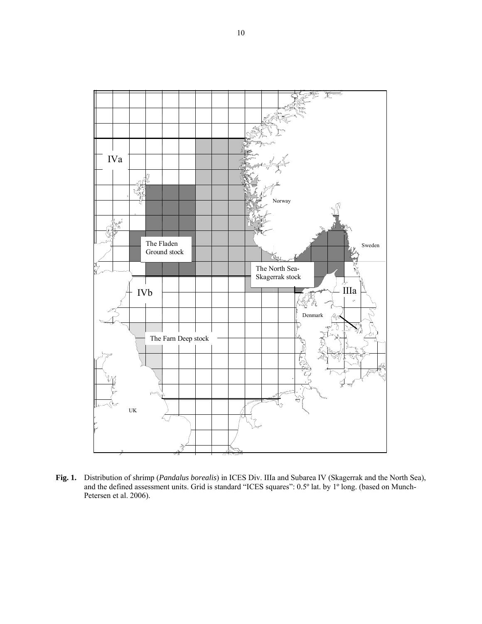

**Fig. 1.** Distribution of shrimp (*Pandalus borealis*) in ICES Div. IIIa and Subarea IV (Skagerrak and the North Sea), and the defined assessment units. Grid is standard "ICES squares": 0.5º lat. by 1º long. (based on Munch-Petersen et al. 2006).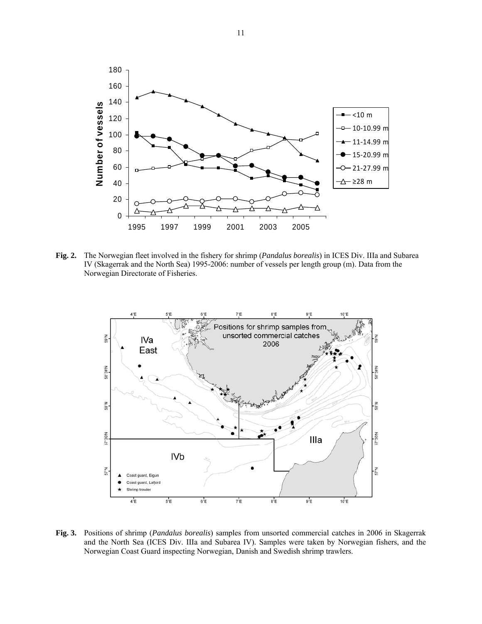

**Fig. 2.** The Norwegian fleet involved in the fishery for shrimp (*Pandalus borealis*) in ICES Div. IIIa and Subarea IV (Skagerrak and the North Sea) 1995-2006: number of vessels per length group (m). Data from the Norwegian Directorate of Fisheries.



**Fig. 3.** Positions of shrimp (*Pandalus borealis*) samples from unsorted commercial catches in 2006 in Skagerrak and the North Sea (ICES Div. IIIa and Subarea IV). Samples were taken by Norwegian fishers, and the Norwegian Coast Guard inspecting Norwegian, Danish and Swedish shrimp trawlers.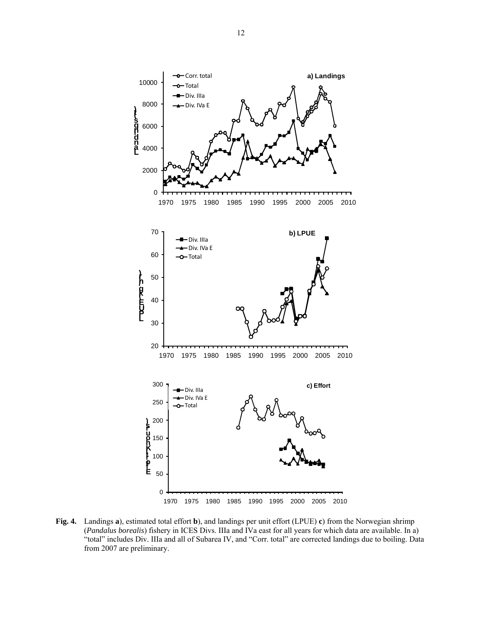

**Fig. 4.** Landings **a**), estimated total effort **b**), and landings per unit effort (LPUE) **c**) from the Norwegian shrimp (*Pandalus borealis*) fishery in ICES Divs. IIIa and IVa east for all years for which data are available. In a) "total" includes Div. IIIa and all of Subarea IV, and "Corr. total" are corrected landings due to boiling. Data from 2007 are preliminary.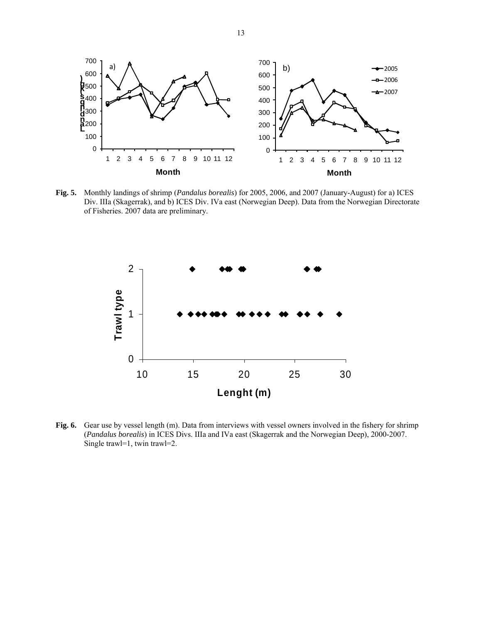

**Fig. 5.** Monthly landings of shrimp (*Pandalus borealis*) for 2005, 2006, and 2007 (January-August) for a) ICES Div. IIIa (Skagerrak), and b) ICES Div. IVa east (Norwegian Deep). Data from the Norwegian Directorate of Fisheries. 2007 data are preliminary.



**Fig. 6.** Gear use by vessel length (m). Data from interviews with vessel owners involved in the fishery for shrimp (*Pandalus borealis*) in ICES Divs. IIIa and IVa east (Skagerrak and the Norwegian Deep), 2000-2007. Single trawl=1, twin trawl=2.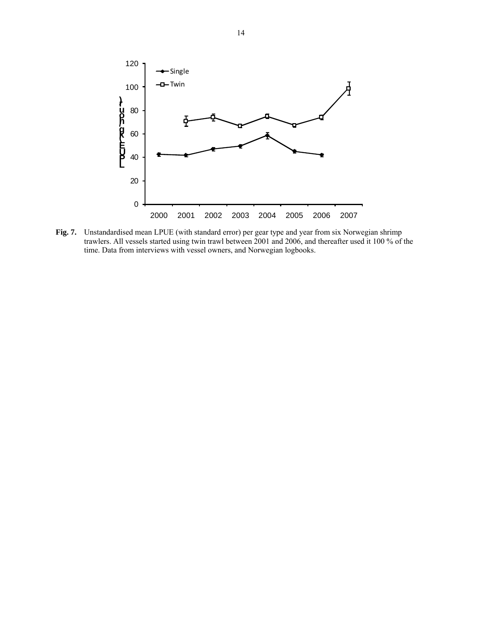

**Fig. 7.** Unstandardised mean LPUE (with standard error) per gear type and year from six Norwegian shrimp trawlers. All vessels started using twin trawl between 2001 and 2006, and thereafter used it 100 % of the time. Data from interviews with vessel owners, and Norwegian logbooks.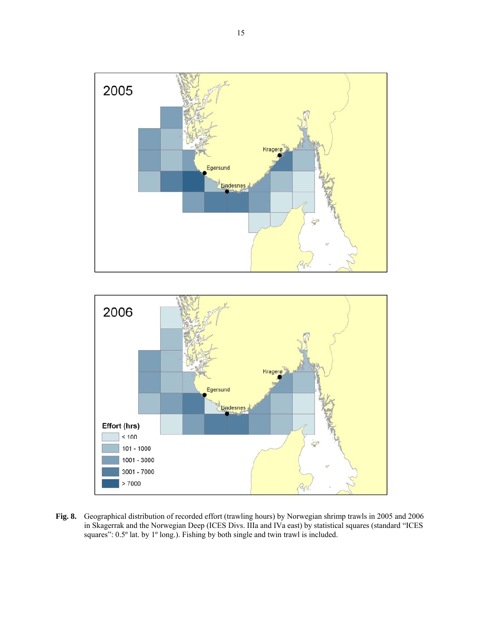



**Fig. 8.** Geographical distribution of recorded effort (trawling hours) by Norwegian shrimp trawls in 2005 and 2006 in Skagerrak and the Norwegian Deep (ICES Divs. IIIa and IVa east) by statistical squares (standard "ICES squares": 0.5° lat. by 1° long.). Fishing by both single and twin trawl is included.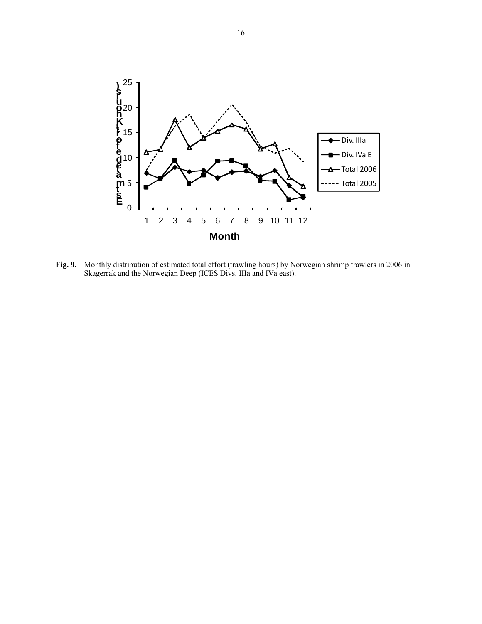

**Fig. 9.** Monthly distribution of estimated total effort (trawling hours) by Norwegian shrimp trawlers in 2006 in Skagerrak and the Norwegian Deep (ICES Divs. IIIa and IVa east).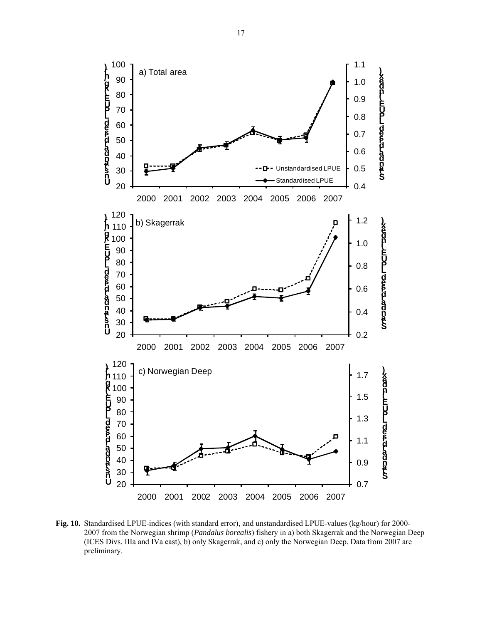

**Fig. 10.** Standardised LPUE-indices (with standard error), and unstandardised LPUE-values (kg/hour) for 2000- 2007 from the Norwegian shrimp (*Pandalus borealis*) fishery in a) both Skagerrak and the Norwegian Deep (ICES Divs. IIIa and IVa east), b) only Skagerrak, and c) only the Norwegian Deep. Data from 2007 are preliminary.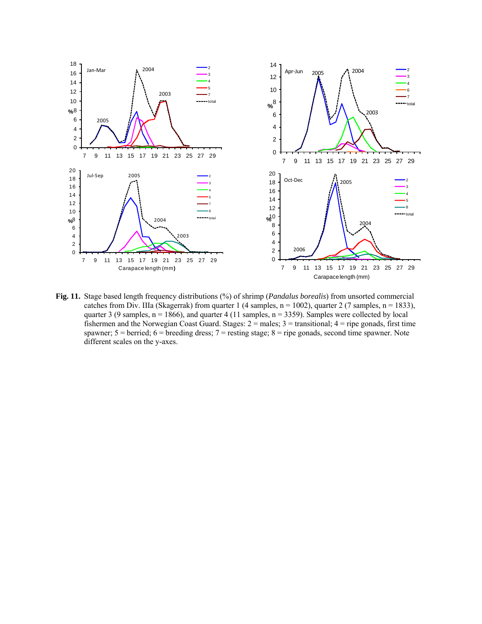

**Fig. 11.** Stage based length frequency distributions (%) of shrimp (*Pandalus borealis*) from unsorted commercial catches from Div. IIIa (Skagerrak) from quarter 1 (4 samples,  $n = 1002$ ), quarter 2 (7 samples,  $n = 1833$ ), quarter 3 (9 samples,  $n = 1866$ ), and quarter 4 (11 samples,  $n = 3359$ ). Samples were collected by local fishermen and the Norwegian Coast Guard. Stages:  $2 =$  males;  $3 =$  transitional;  $4 =$  ripe gonads, first time spawner; 5 = berried; 6 = breeding dress; 7 = resting stage; 8 = ripe gonads, second time spawner. Note different scales on the y-axes.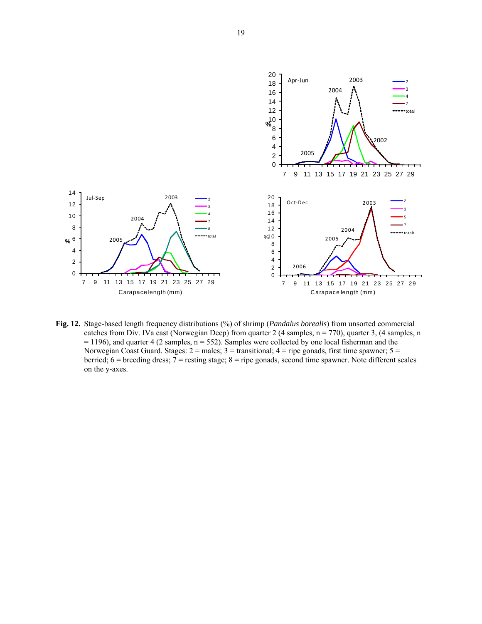

**Fig. 12.** Stage-based length frequency distributions (%) of shrimp (*Pandalus borealis*) from unsorted commercial catches from Div. IVa east (Norwegian Deep) from quarter 2 (4 samples, n = 770), quarter 3, (4 samples, n  $= 1196$ ), and quarter 4 (2 samples, n = 552). Samples were collected by one local fisherman and the Norwegian Coast Guard. Stages:  $2 =$  males;  $3 =$  transitional;  $4 =$  ripe gonads, first time spawner;  $5 =$ berried;  $6 =$  breeding dress;  $7 =$  resting stage;  $8 =$  ripe gonads, second time spawner. Note different scales on the y-axes.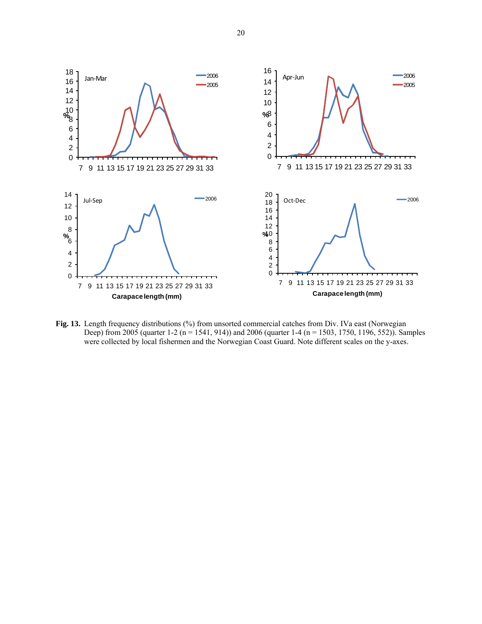

**Fig. 13.** Length frequency distributions (%) from unsorted commercial catches from Div. IVa east (Norwegian Deep) from 2005 (quarter 1-2 (n = 1541, 914)) and 2006 (quarter 1-4 (n = 1503, 1750, 1196, 552)). Samples were collected by local fishermen and the Norwegian Coast Guard. Note different scales on the y-axes.